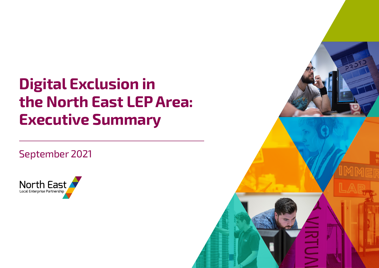# **Digital Exclusion in the North East LEP Area: Executive Summary**

# September 2021



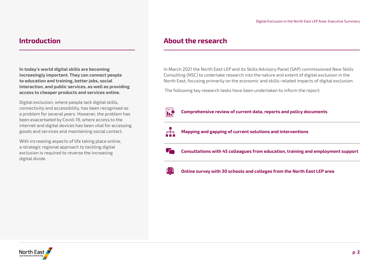**In today's world digital skills are becoming increasingly important. They can connect people to education and training, better jobs, social interaction, and public services, as well as providing access to cheaper products and services online.**

Digital exclusion, where people lack digital skills, connectivity and accessibility, has been recognised as a problem for several years. However, the problem has been exacerbated by Covid-19, where access to the internet and digital devices has been vital for accessing goods and services and maintaining social contact.

With increasing aspects of life taking place online, a strategic regional approach to tackling digital exclusion is required to reverse the increasing digital divide.

# **Introduction About the research**

In March 2021 the North East LEP and its Skills Advisory Panel (SAP) commissioned New Skills Consulting (NSC) to undertake research into the nature and extent of digital exclusion in the North East, focusing primarily on the economic and skills-related impacts of digital exclusion.

The following key research tasks have been undertaken to inform the report:

### **Comprehensive review of current data, reports and policy documents**



 $\overline{\mathbf{h}}$ 

**Mapping and gapping of current solutions and interventions**

**Consultations with 45 colleagues from education, training and employment support**



**Online survey with 30 schools and colleges from the North East LEP area**

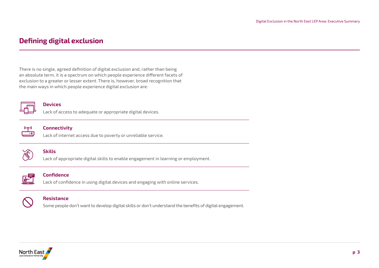# **Defining digital exclusion**

There is no single, agreed definition of digital exclusion and, rather than being an absolute term, it is a spectrum on which people experience different facets of exclusion to a greater or lesser extent. There is, however, broad recognition that the main ways in which people experience digital exclusion are:



#### **Devices**

Lack of access to adequate or appropriate digital devices.



#### **Connectivity**

Lack of internet access due to poverty or unreliable service.



#### **Skills**

Lack of appropriate digital skills to enable engagement in learning or employment.



### **Confidence**

Lack of confidence in using digital devices and engaging with online services.



#### **Resistance**

Some people don't want to develop digital skills or don't understand the benefits of digital engagement.

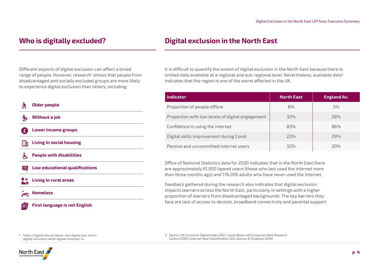# **Who is digitally excluded?**

### Different aspects of digital exclusion can affect a broad range of people. However, research<sup>1</sup> shows that people from disadvantaged and socially excluded groups are more likely to experience digital exclusion than others, including:



**First language is not English**

# **Digital exclusion in the North East**

It is difficult to quantify the extent of digital exclusion in the North East because there is limited data available at a regional and sub-regional level. Nevertheless, available data2 indicates that the region is one of the worst affected in the UK.

| <b>Indicator</b>                                 | <b>North East</b> | <b>England Av.</b> |
|--------------------------------------------------|-------------------|--------------------|
| Proportion of people offline                     | 8%                | 5%                 |
| Proportion with low levels of digital engagement | 32%               | 28%                |
| Confidence in using the internet                 | 83%               | 86%                |
| Digital skills improvement during Covid          | 23%               | 29%                |
| Passive and uncommitted internet users           | 32%               | 20%                |

Office of National Statistics data for 2020 indicates that in the North East there are approximately 61,000 lapsed users (those who last used the internet more than three months ago) and 176,000 adults who have never used the internet.

Feedback gathered during the research also indicates that digital exclusion impacts learners across the North East, particularly in settings with a higher proportion of learners from disadvantaged backgrounds. The key barriers they face are lack of access to devices, broadband connectivity and parental support.

1 https://digital.nhs.uk/about-nhs-digital/our-work/ digital-inclusion/what-digital-inclusion-is

2 Source: UK Consumer Digital Index 2021, Lloyds Bank; and Consumer Data Research Centre (CDRC) Internet User Classification (IUC; Alexiou & Singleton 2018)

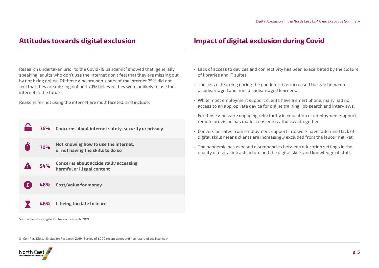Research undertaken prior to the Covid-19 pandemic<sup>3</sup> showed that, generally speaking, adults who don't use the internet don't feel that they are missing out by not being online. Of those who are non-users of the internet 75% did not feel that they are missing out and 79% believed they were unlikely to use the internet in the future.

Reasons for not using the internet are multifaceted, and include:

|              |               | 76% Concerns about internet safety, security or privacy                   |
|--------------|---------------|---------------------------------------------------------------------------|
|              | $\bullet$ 70% | Not knowing how to use the internet,<br>or not having the skills to do so |
|              | 54%           | Concerns about accidentally accessing<br>harmful or illegal content       |
| $\mathbf{E}$ |               | 48% Cost/value for money                                                  |
|              |               | 46% It being too late to learn                                            |

Source: ComRes, Digital Exclusion Research, 2019

# **Attitudes towards digital exclusion Impact of digital exclusion during Covid**

- Lack of access to devices and connectivity has been exacerbated by the closure of libraries and IT suites.
- The loss of learning during the pandemic has increased the gap between disadvantaged and non-disadvantaged learners.
- While most employment support clients have a smart phone, many had no access to an appropriate device for online training, job search and interviews.
- For those who were engaging reluctantly in education or employment support, remote provision has made it easier to withdraw altogether.
- Conversion rates from employment support into work have fallen and lack of digital skills means clients are increasingly excluded from the labour market.
- The pandemic has exposed discrepancies between education settings in the quality of digital infrastructure and the digital skills and knowledge of staff.

3 ComRes, Digital Exclusion Research, 2019 (Survey of 1,000 recent users and non-users of the internet)

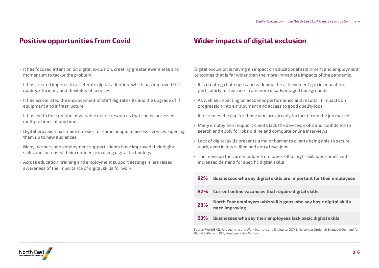- It has focused attention on digital exclusion, creating greater awareness and momentum to tackle the problem.
- It has created impetus to accelerate digital adoption, which has improved the quality, efficiency and flexibility of services.
- It has accelerated the improvement of staff digital skills and the upgrade of IT equipment and infrastructure.
- It has led to the creation of valuable online resources that can be accessed multiple times at any time.
- Digital provision has made it easier for some people to access services, opening them up to new audiences.
- Many learners and employment support clients have improved their digital skills and increased their confidence in using digital technology.
- Across education, training and employment support settings it has raised awareness of the importance of digital skills for work.

# **Positive opportunities from Covid Wider impacts of digital exclusion**

Digital exclusion is having an impact on educational attainment and employment outcomes that is far wider than the more immediate impacts of the pandemic.

- It is creating challenges and widening the achievement gap in education, particularly for learners from more disadvantaged backgrounds.
- As well as impacting on academic performance and results, it impacts on progression into employment and access to good quality jobs.
- It increases the gap for those who are already furthest from the job market.
- Many employment support clients lack the devices, skills and confidence to search and apply for jobs online and complete online interviews.
- Lack of digital skills presents a major barrier to clients being able to secure work, even in low skilled and entry level jobs.
- The move up the career ladder from low-skill to high-skill jobs comes with increased demand for specific digital skills
- **92% Businesses who say digital skills are important for their employees**
- **82% Current online vacancies that require digital skills**
- **28% North East employers with skills gaps who say basic digital skills need improving**
- **23% Businesses who say their employees lack basic digital skills**

Source: WorldSkills UK, Learning and Work Institute and Enginuity; DCMS, No Longer Optional: Employer Demand for Digital Skills; and DfE, Employer Skills Survey

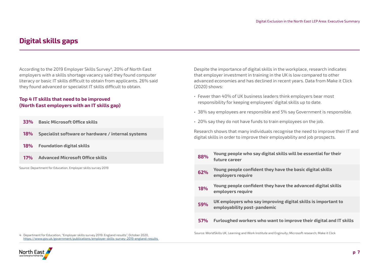# **Digital skills gaps**

According to the 2019 Employer Skills Survey<sup>4</sup>, 20% of North East employers with a skills shortage vacancy said they found computer literacy or basic IT skills difficult to obtain from applicants. 26% said they found advanced or specialist IT skills difficult to obtain.

### **Top 4 IT skills that need to be improved (North East employers with an IT skills gap)**

| 33% | <b>Basic Microsoft Office skills</b>               |
|-----|----------------------------------------------------|
| 18% | Specialist software or hardware / internal systems |
| 18% | <b>Foundation digital skills</b>                   |
| 17% | <b>Advanced Microsoft Office skills</b>            |

Source: Department for Education, Employer skills survey 2019

Despite the importance of digital skills in the workplace, research indicates that employer investment in training in the UK is low compared to other advanced economies and has declined in recent years. Data from Make it Click (2020) shows:

- Fewer than 40% of UK business leaders think employers bear most responsibility for keeping employees' digital skills up to date.
- 38% say employees are responsible and 5% say Government is responsible.
- 20% say they do not have funds to train employees on the job.

Research shows that many individuals recognise the need to improve their IT and digital skills in order to improve their employability and job prospects.

| 17%<br><b>Advanced Microsoft Office skills</b>              | 88%        | Young people who say digital skills will be essential for their<br>future career             |
|-------------------------------------------------------------|------------|----------------------------------------------------------------------------------------------|
| urce: Department for Education, Employer skills survey 2019 | 62%        | Young people confident they have the basic digital skills<br>employers require               |
|                                                             | 18%        | Young people confident they have the advanced digital skills<br>employers require            |
|                                                             | 59%        | UK employers who say improving digital skills is important to<br>employability post-pandemic |
|                                                             | <b>57%</b> | Furloughed workers who want to improve their digital and IT skills                           |
|                                                             |            |                                                                                              |

Source: WorldSkills UK, Learning and Work Institute and Enginuity; Microsoft research; Make it Click 4 Department for Education, "Employer skills survey 2019: England results", October 2020,

[https://www.gov.uk/government/publications/employer-skills-survey-2019-england-results](https://www.gov.uk/government/publications/employer-skills-survey-2019-england-results ) 

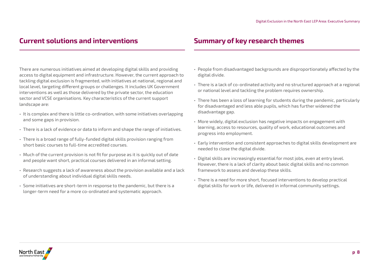# **Current solutions and interventions Summary of key research themes**

There are numerous initiatives aimed at developing digital skills and providing access to digital equipment and infrastructure. However, the current approach to tackling digital exclusion is fragmented, with initiatives at national, regional and local level, targeting different groups or challenges. It includes UK Government interventions as well as those delivered by the private sector, the education sector and VCSE organisations. Key characteristics of the current support landscape are:

- It is complex and there is little co-ordination, with some initiatives overlapping and some gaps in provision.
- There is a lack of evidence or data to inform and shape the range of initiatives.
- There is a broad range of fully-funded digital skills provision ranging from short basic courses to full-time accredited courses.
- Much of the current provision is not fit for purpose as it is quickly out of date and people want short, practical courses delivered in an informal setting.
- Research suggests a lack of awareness about the provision available and a lack of understanding about individual digital skills needs.
- Some initiatives are short-term in response to the pandemic, but there is a longer-term need for a more co-ordinated and systematic approach.

- People from disadvantaged backgrounds are disproportionately affected by the digital divide.
- There is a lack of co-ordinated activity and no structured approach at a regional or national level and tackling the problem requires ownership.
- There has been a loss of learning for students during the pandemic, particularly for disadvantaged and less able pupils, which has further widened the disadvantage gap.
- More widely, digital exclusion has negative impacts on engagement with learning, access to resources, quality of work, educational outcomes and progress into employment.
- Early intervention and consistent approaches to digital skills development are needed to close the digital divide.
- Digital skills are increasingly essential for most jobs, even at entry level. However, there is a lack of clarity about basic digital skills and no common framework to assess and develop these skills.
- There is a need for more short, focused interventions to develop practical digital skills for work or life, delivered in informal community settings.